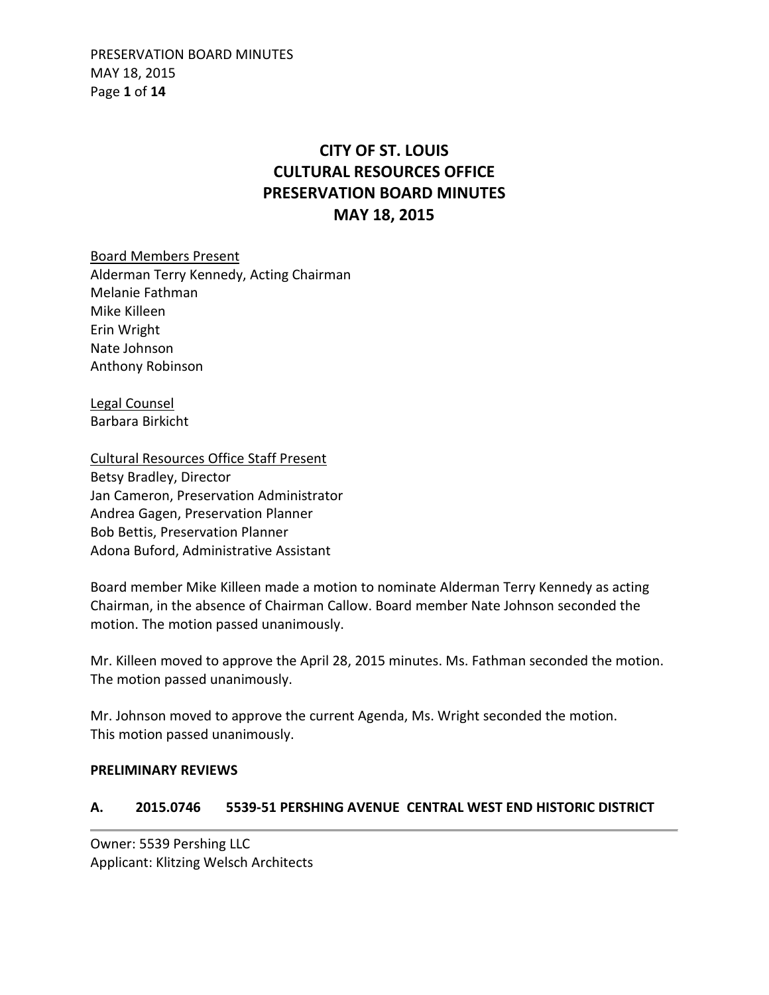PRESERVATION BOARD MINUTES MAY 18, 2015 Page **1** of **14**

# **CITY OF ST. LOUIS CULTURAL RESOURCES OFFICE PRESERVATION BOARD MINUTES MAY 18, 2015**

Board Members Present Alderman Terry Kennedy, Acting Chairman Melanie Fathman Mike Killeen Erin Wright Nate Johnson Anthony Robinson

Legal Counsel Barbara Birkicht

Cultural Resources Office Staff Present Betsy Bradley, Director Jan Cameron, Preservation Administrator Andrea Gagen, Preservation Planner Bob Bettis, Preservation Planner Adona Buford, Administrative Assistant

Board member Mike Killeen made a motion to nominate Alderman Terry Kennedy as acting Chairman, in the absence of Chairman Callow. Board member Nate Johnson seconded the motion. The motion passed unanimously.

Mr. Killeen moved to approve the April 28, 2015 minutes. Ms. Fathman seconded the motion. The motion passed unanimously.

Mr. Johnson moved to approve the current Agenda, Ms. Wright seconded the motion. This motion passed unanimously.

#### **PRELIMINARY REVIEWS**

### **A. 2015.0746 5539-51 PERSHING AVENUE CENTRAL WEST END HISTORIC DISTRICT**

Owner: 5539 Pershing LLC Applicant: Klitzing Welsch Architects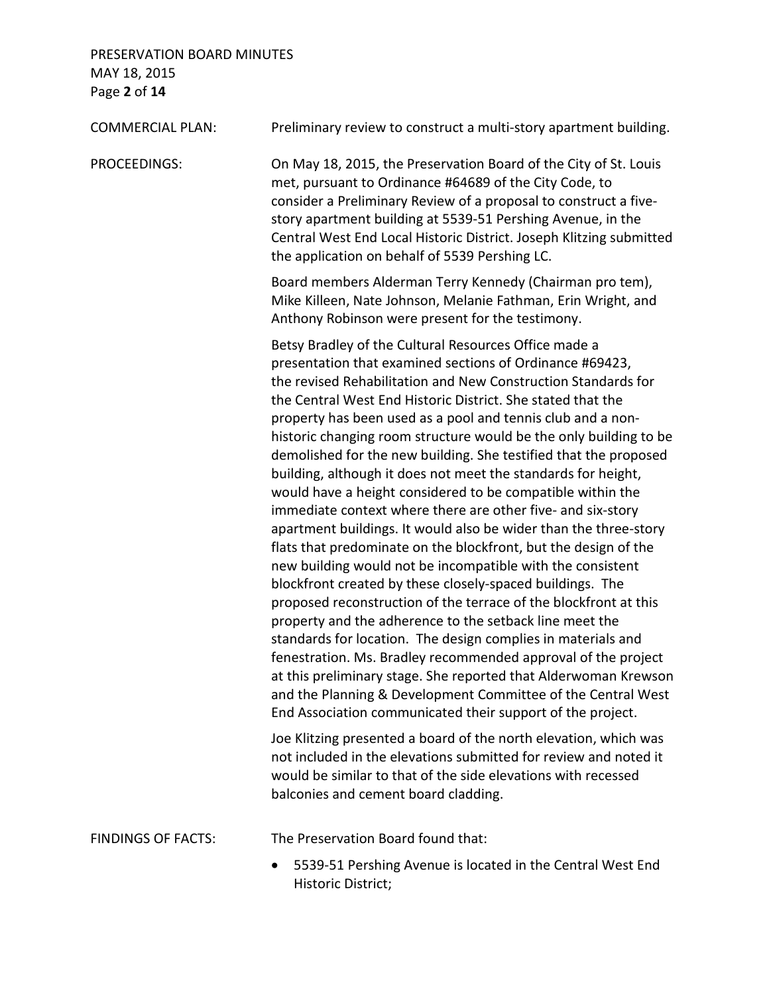## PRESERVATION BOARD MINUTES MAY 18, 2015 Page **2** of **14**

| <b>COMMERCIAL PLAN:</b>   | Preliminary review to construct a multi-story apartment building.                                                                                                                                                                                                                                                                                                                                                                                                                                                                                                                                                                                                                                                                                                                                                                                                                                                                                                                                                                                                                                                                                                                                                                                                                                                                                                                                                                                                                                                                                                                                   |
|---------------------------|-----------------------------------------------------------------------------------------------------------------------------------------------------------------------------------------------------------------------------------------------------------------------------------------------------------------------------------------------------------------------------------------------------------------------------------------------------------------------------------------------------------------------------------------------------------------------------------------------------------------------------------------------------------------------------------------------------------------------------------------------------------------------------------------------------------------------------------------------------------------------------------------------------------------------------------------------------------------------------------------------------------------------------------------------------------------------------------------------------------------------------------------------------------------------------------------------------------------------------------------------------------------------------------------------------------------------------------------------------------------------------------------------------------------------------------------------------------------------------------------------------------------------------------------------------------------------------------------------------|
| PROCEEDINGS:              | On May 18, 2015, the Preservation Board of the City of St. Louis<br>met, pursuant to Ordinance #64689 of the City Code, to<br>consider a Preliminary Review of a proposal to construct a five-<br>story apartment building at 5539-51 Pershing Avenue, in the<br>Central West End Local Historic District. Joseph Klitzing submitted<br>the application on behalf of 5539 Pershing LC.                                                                                                                                                                                                                                                                                                                                                                                                                                                                                                                                                                                                                                                                                                                                                                                                                                                                                                                                                                                                                                                                                                                                                                                                              |
|                           | Board members Alderman Terry Kennedy (Chairman pro tem),<br>Mike Killeen, Nate Johnson, Melanie Fathman, Erin Wright, and<br>Anthony Robinson were present for the testimony.                                                                                                                                                                                                                                                                                                                                                                                                                                                                                                                                                                                                                                                                                                                                                                                                                                                                                                                                                                                                                                                                                                                                                                                                                                                                                                                                                                                                                       |
|                           | Betsy Bradley of the Cultural Resources Office made a<br>presentation that examined sections of Ordinance #69423,<br>the revised Rehabilitation and New Construction Standards for<br>the Central West End Historic District. She stated that the<br>property has been used as a pool and tennis club and a non-<br>historic changing room structure would be the only building to be<br>demolished for the new building. She testified that the proposed<br>building, although it does not meet the standards for height,<br>would have a height considered to be compatible within the<br>immediate context where there are other five- and six-story<br>apartment buildings. It would also be wider than the three-story<br>flats that predominate on the blockfront, but the design of the<br>new building would not be incompatible with the consistent<br>blockfront created by these closely-spaced buildings. The<br>proposed reconstruction of the terrace of the blockfront at this<br>property and the adherence to the setback line meet the<br>standards for location. The design complies in materials and<br>fenestration. Ms. Bradley recommended approval of the project<br>at this preliminary stage. She reported that Alderwoman Krewson<br>and the Planning & Development Committee of the Central West<br>End Association communicated their support of the project.<br>Joe Klitzing presented a board of the north elevation, which was<br>not included in the elevations submitted for review and noted it<br>would be similar to that of the side elevations with recessed |
|                           | balconies and cement board cladding.                                                                                                                                                                                                                                                                                                                                                                                                                                                                                                                                                                                                                                                                                                                                                                                                                                                                                                                                                                                                                                                                                                                                                                                                                                                                                                                                                                                                                                                                                                                                                                |
| <b>FINDINGS OF FACTS:</b> | The Preservation Board found that:                                                                                                                                                                                                                                                                                                                                                                                                                                                                                                                                                                                                                                                                                                                                                                                                                                                                                                                                                                                                                                                                                                                                                                                                                                                                                                                                                                                                                                                                                                                                                                  |
|                           | 5539-51 Pershing Avenue is located in the Central West End                                                                                                                                                                                                                                                                                                                                                                                                                                                                                                                                                                                                                                                                                                                                                                                                                                                                                                                                                                                                                                                                                                                                                                                                                                                                                                                                                                                                                                                                                                                                          |

Historic District;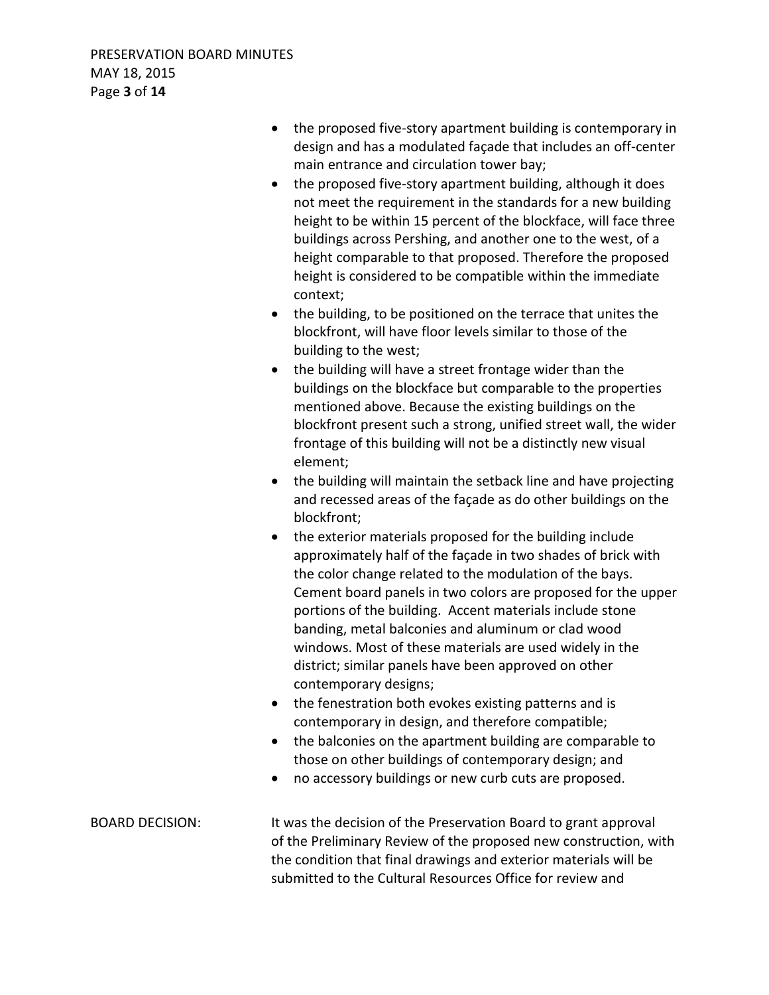- the proposed five-story apartment building is contemporary in design and has a modulated façade that includes an off-center main entrance and circulation tower bay;
- the proposed five-story apartment building, although it does not meet the requirement in the standards for a new building height to be within 15 percent of the blockface, will face three buildings across Pershing, and another one to the west, of a height comparable to that proposed. Therefore the proposed height is considered to be compatible within the immediate context;
- the building, to be positioned on the terrace that unites the blockfront, will have floor levels similar to those of the building to the west;
- the building will have a street frontage wider than the buildings on the blockface but comparable to the properties mentioned above. Because the existing buildings on the blockfront present such a strong, unified street wall, the wider frontage of this building will not be a distinctly new visual element;
- the building will maintain the setback line and have projecting and recessed areas of the façade as do other buildings on the blockfront;
- the exterior materials proposed for the building include approximately half of the façade in two shades of brick with the color change related to the modulation of the bays. Cement board panels in two colors are proposed for the upper portions of the building. Accent materials include stone banding, metal balconies and aluminum or clad wood windows. Most of these materials are used widely in the district; similar panels have been approved on other contemporary designs;
- the fenestration both evokes existing patterns and is contemporary in design, and therefore compatible;
- the balconies on the apartment building are comparable to those on other buildings of contemporary design; and
- no accessory buildings or new curb cuts are proposed.

BOARD DECISION: It was the decision of the Preservation Board to grant approval of the Preliminary Review of the proposed new construction, with the condition that final drawings and exterior materials will be submitted to the Cultural Resources Office for review and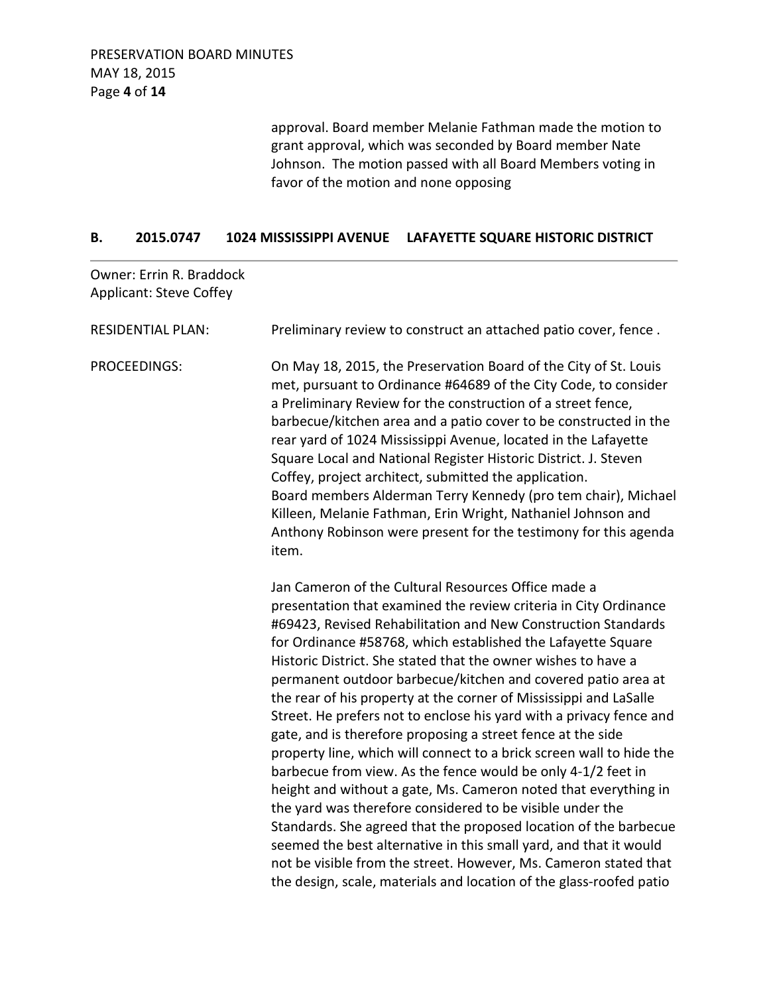approval. Board member Melanie Fathman made the motion to grant approval, which was seconded by Board member Nate Johnson. The motion passed with all Board Members voting in favor of the motion and none opposing

#### **B. 2015.0747 1024 MISSISSIPPI AVENUE LAFAYETTE SQUARE HISTORIC DISTRICT**

| <b>Owner: Errin R. Braddock</b><br><b>Applicant: Steve Coffey</b> |                                                                                                                                                                                                                                                                                                                                                                                                                                                                                                                                                                                                                                                                                                                                                                                                                                                                                                                                                                                                                                                                                                                                                                  |
|-------------------------------------------------------------------|------------------------------------------------------------------------------------------------------------------------------------------------------------------------------------------------------------------------------------------------------------------------------------------------------------------------------------------------------------------------------------------------------------------------------------------------------------------------------------------------------------------------------------------------------------------------------------------------------------------------------------------------------------------------------------------------------------------------------------------------------------------------------------------------------------------------------------------------------------------------------------------------------------------------------------------------------------------------------------------------------------------------------------------------------------------------------------------------------------------------------------------------------------------|
| <b>RESIDENTIAL PLAN:</b>                                          | Preliminary review to construct an attached patio cover, fence.                                                                                                                                                                                                                                                                                                                                                                                                                                                                                                                                                                                                                                                                                                                                                                                                                                                                                                                                                                                                                                                                                                  |
| PROCEEDINGS:                                                      | On May 18, 2015, the Preservation Board of the City of St. Louis<br>met, pursuant to Ordinance #64689 of the City Code, to consider<br>a Preliminary Review for the construction of a street fence,<br>barbecue/kitchen area and a patio cover to be constructed in the<br>rear yard of 1024 Mississippi Avenue, located in the Lafayette<br>Square Local and National Register Historic District. J. Steven<br>Coffey, project architect, submitted the application.<br>Board members Alderman Terry Kennedy (pro tem chair), Michael<br>Killeen, Melanie Fathman, Erin Wright, Nathaniel Johnson and<br>Anthony Robinson were present for the testimony for this agenda<br>item.                                                                                                                                                                                                                                                                                                                                                                                                                                                                               |
|                                                                   | Jan Cameron of the Cultural Resources Office made a<br>presentation that examined the review criteria in City Ordinance<br>#69423, Revised Rehabilitation and New Construction Standards<br>for Ordinance #58768, which established the Lafayette Square<br>Historic District. She stated that the owner wishes to have a<br>permanent outdoor barbecue/kitchen and covered patio area at<br>the rear of his property at the corner of Mississippi and LaSalle<br>Street. He prefers not to enclose his yard with a privacy fence and<br>gate, and is therefore proposing a street fence at the side<br>property line, which will connect to a brick screen wall to hide the<br>barbecue from view. As the fence would be only 4-1/2 feet in<br>height and without a gate, Ms. Cameron noted that everything in<br>the yard was therefore considered to be visible under the<br>Standards. She agreed that the proposed location of the barbecue<br>seemed the best alternative in this small yard, and that it would<br>not be visible from the street. However, Ms. Cameron stated that<br>the design, scale, materials and location of the glass-roofed patio |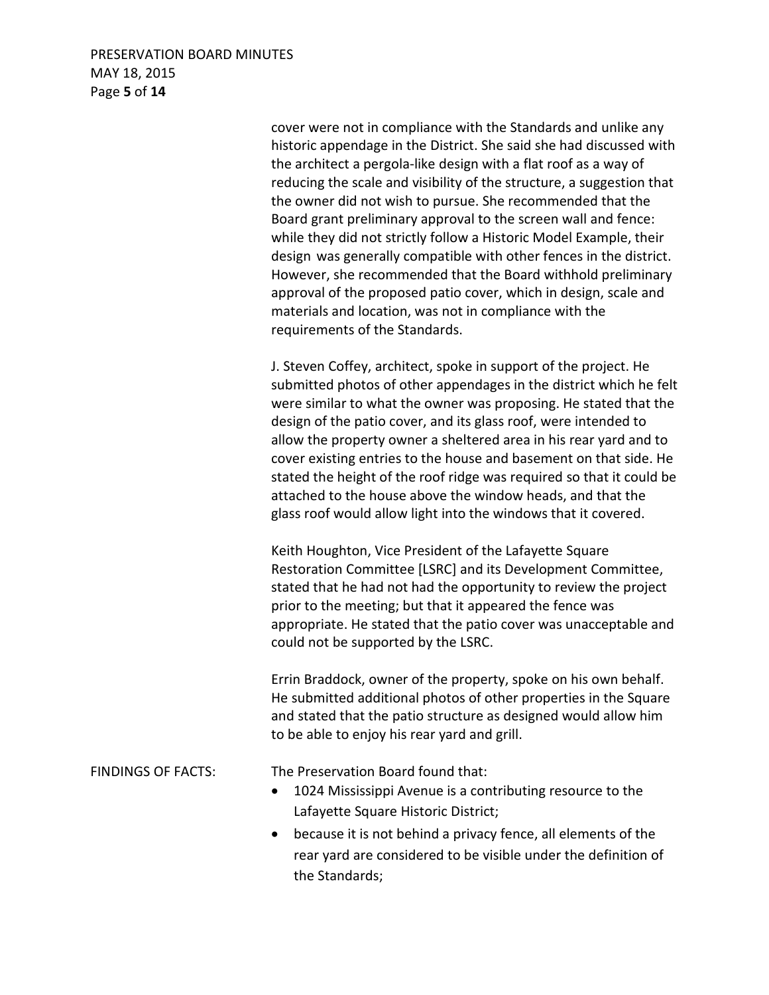#### PRESERVATION BOARD MINUTES MAY 18, 2015 Page **5** of **14**

 cover were not in compliance with the Standards and unlike any historic appendage in the District. She said she had discussed with the architect a pergola-like design with a flat roof as a way of reducing the scale and visibility of the structure, a suggestion that the owner did not wish to pursue. She recommended that the Board grant preliminary approval to the screen wall and fence: while they did not strictly follow a Historic Model Example, their design was generally compatible with other fences in the district. However, she recommended that the Board withhold preliminary approval of the proposed patio cover, which in design, scale and materials and location, was not in compliance with the requirements of the Standards.

 J. Steven Coffey, architect, spoke in support of the project. He submitted photos of other appendages in the district which he felt were similar to what the owner was proposing. He stated that the design of the patio cover, and its glass roof, were intended to allow the property owner a sheltered area in his rear yard and to cover existing entries to the house and basement on that side. He stated the height of the roof ridge was required so that it could be attached to the house above the window heads, and that the glass roof would allow light into the windows that it covered.

 Keith Houghton, Vice President of the Lafayette Square Restoration Committee [LSRC] and its Development Committee, stated that he had not had the opportunity to review the project prior to the meeting; but that it appeared the fence was appropriate. He stated that the patio cover was unacceptable and could not be supported by the LSRC.

 Errin Braddock, owner of the property, spoke on his own behalf. He submitted additional photos of other properties in the Square and stated that the patio structure as designed would allow him to be able to enjoy his rear yard and grill.

FINDINGS OF FACTS: The Preservation Board found that:

- 1024 Mississippi Avenue is a contributing resource to the Lafayette Square Historic District;
- because it is not behind a privacy fence, all elements of the rear yard are considered to be visible under the definition of the Standards;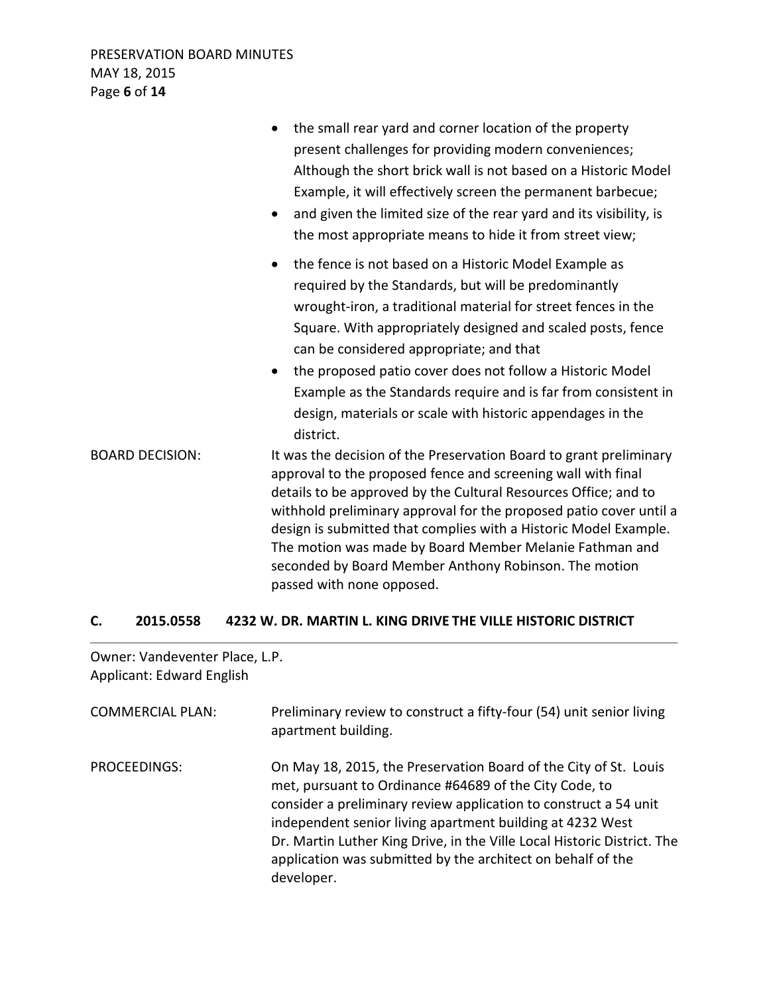|                        | the small rear yard and corner location of the property<br>$\bullet$<br>present challenges for providing modern conveniences;<br>Although the short brick wall is not based on a Historic Model<br>Example, it will effectively screen the permanent barbecue;<br>and given the limited size of the rear yard and its visibility, is<br>$\bullet$<br>the most appropriate means to hide it from street view;                                                                                                                 |
|------------------------|------------------------------------------------------------------------------------------------------------------------------------------------------------------------------------------------------------------------------------------------------------------------------------------------------------------------------------------------------------------------------------------------------------------------------------------------------------------------------------------------------------------------------|
|                        | the fence is not based on a Historic Model Example as<br>$\bullet$<br>required by the Standards, but will be predominantly<br>wrought-iron, a traditional material for street fences in the<br>Square. With appropriately designed and scaled posts, fence<br>can be considered appropriate; and that<br>the proposed patio cover does not follow a Historic Model<br>$\bullet$<br>Example as the Standards require and is far from consistent in<br>design, materials or scale with historic appendages in the<br>district. |
| <b>BOARD DECISION:</b> | It was the decision of the Preservation Board to grant preliminary<br>approval to the proposed fence and screening wall with final<br>details to be approved by the Cultural Resources Office; and to<br>withhold preliminary approval for the proposed patio cover until a<br>design is submitted that complies with a Historic Model Example.<br>The motion was made by Board Member Melanie Fathman and<br>seconded by Board Member Anthony Robinson. The motion<br>passed with none opposed.                             |

## **C. 2015.0558 4232 W. DR. MARTIN L. KING DRIVE THE VILLE HISTORIC DISTRICT**

Owner: Vandeventer Place, L.P. Applicant: Edward English

| <b>COMMERCIAL PLAN:</b> | Preliminary review to construct a fifty-four (54) unit senior living<br>apartment building.                                                                                                                                                                                                                                                                                                                         |
|-------------------------|---------------------------------------------------------------------------------------------------------------------------------------------------------------------------------------------------------------------------------------------------------------------------------------------------------------------------------------------------------------------------------------------------------------------|
| PROCEEDINGS:            | On May 18, 2015, the Preservation Board of the City of St. Louis<br>met, pursuant to Ordinance #64689 of the City Code, to<br>consider a preliminary review application to construct a 54 unit<br>independent senior living apartment building at 4232 West<br>Dr. Martin Luther King Drive, in the Ville Local Historic District. The<br>application was submitted by the architect on behalf of the<br>developer. |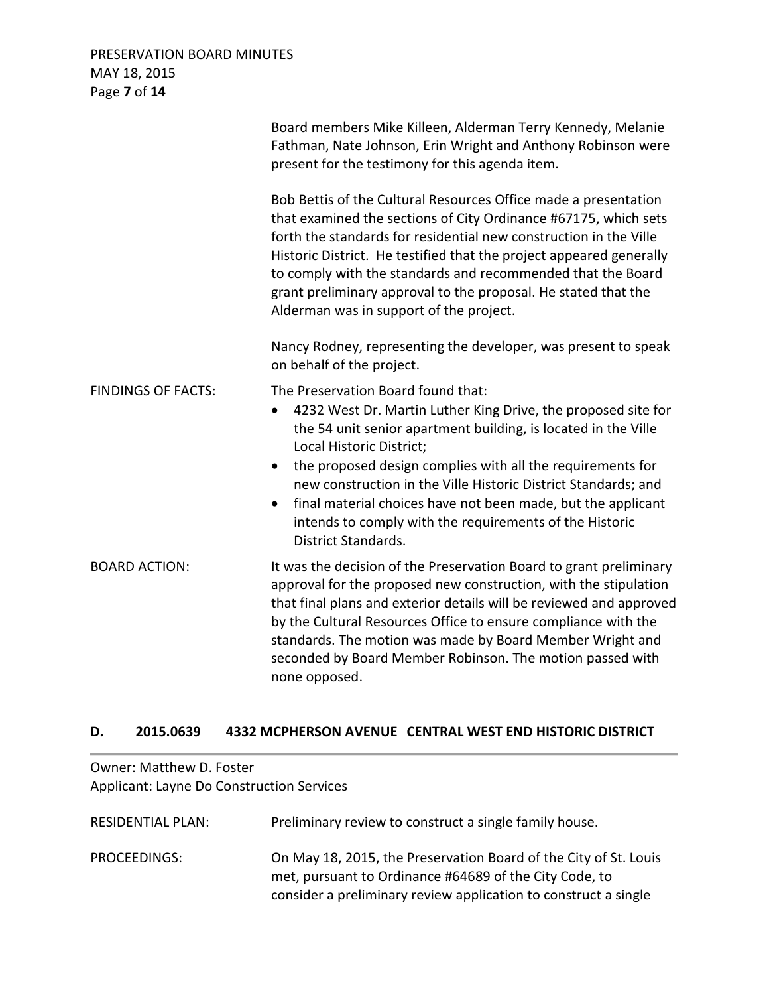### PRESERVATION BOARD MINUTES MAY 18, 2015 Page **7** of **14**

|                           | Board members Mike Killeen, Alderman Terry Kennedy, Melanie<br>Fathman, Nate Johnson, Erin Wright and Anthony Robinson were<br>present for the testimony for this agenda item.                                                                                                                                                                                                                                                                                                                                |
|---------------------------|---------------------------------------------------------------------------------------------------------------------------------------------------------------------------------------------------------------------------------------------------------------------------------------------------------------------------------------------------------------------------------------------------------------------------------------------------------------------------------------------------------------|
|                           | Bob Bettis of the Cultural Resources Office made a presentation<br>that examined the sections of City Ordinance #67175, which sets<br>forth the standards for residential new construction in the Ville<br>Historic District. He testified that the project appeared generally<br>to comply with the standards and recommended that the Board<br>grant preliminary approval to the proposal. He stated that the<br>Alderman was in support of the project.                                                    |
|                           | Nancy Rodney, representing the developer, was present to speak<br>on behalf of the project.                                                                                                                                                                                                                                                                                                                                                                                                                   |
| <b>FINDINGS OF FACTS:</b> | The Preservation Board found that:<br>4232 West Dr. Martin Luther King Drive, the proposed site for<br>the 54 unit senior apartment building, is located in the Ville<br>Local Historic District;<br>the proposed design complies with all the requirements for<br>$\bullet$<br>new construction in the Ville Historic District Standards; and<br>final material choices have not been made, but the applicant<br>$\bullet$<br>intends to comply with the requirements of the Historic<br>District Standards. |
| <b>BOARD ACTION:</b>      | It was the decision of the Preservation Board to grant preliminary<br>approval for the proposed new construction, with the stipulation<br>that final plans and exterior details will be reviewed and approved<br>by the Cultural Resources Office to ensure compliance with the<br>standards. The motion was made by Board Member Wright and<br>seconded by Board Member Robinson. The motion passed with<br>none opposed.                                                                                    |

### **D. 2015.0639 4332 MCPHERSON AVENUE CENTRAL WEST END HISTORIC DISTRICT**

Owner: Matthew D. Foster Applicant: Layne Do Construction Services

| <b>RESIDENTIAL PLAN:</b> | Preliminary review to construct a single family house.                                                                                                                                        |
|--------------------------|-----------------------------------------------------------------------------------------------------------------------------------------------------------------------------------------------|
| PROCEEDINGS:             | On May 18, 2015, the Preservation Board of the City of St. Louis<br>met, pursuant to Ordinance #64689 of the City Code, to<br>consider a preliminary review application to construct a single |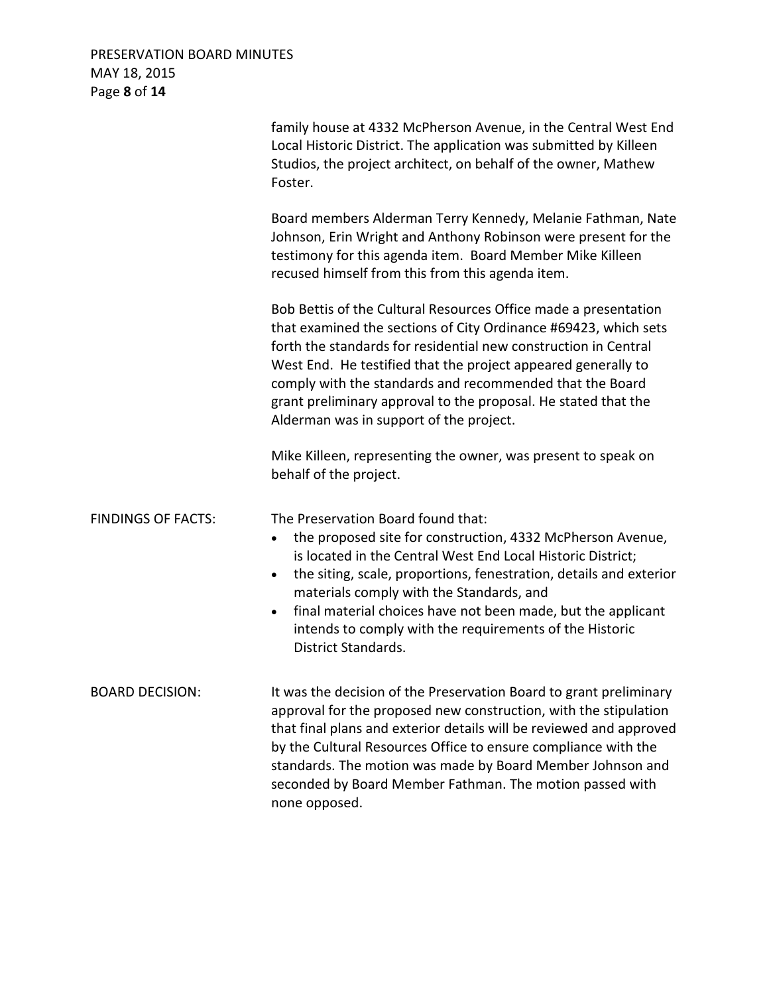## PRESERVATION BOARD MINUTES MAY 18, 2015 Page **8** of **14**

|                           | family house at 4332 McPherson Avenue, in the Central West End<br>Local Historic District. The application was submitted by Killeen<br>Studios, the project architect, on behalf of the owner, Mathew<br>Foster.                                                                                                                                                                                                                                                                  |
|---------------------------|-----------------------------------------------------------------------------------------------------------------------------------------------------------------------------------------------------------------------------------------------------------------------------------------------------------------------------------------------------------------------------------------------------------------------------------------------------------------------------------|
|                           | Board members Alderman Terry Kennedy, Melanie Fathman, Nate<br>Johnson, Erin Wright and Anthony Robinson were present for the<br>testimony for this agenda item. Board Member Mike Killeen<br>recused himself from this from this agenda item.                                                                                                                                                                                                                                    |
|                           | Bob Bettis of the Cultural Resources Office made a presentation<br>that examined the sections of City Ordinance #69423, which sets<br>forth the standards for residential new construction in Central<br>West End. He testified that the project appeared generally to<br>comply with the standards and recommended that the Board<br>grant preliminary approval to the proposal. He stated that the<br>Alderman was in support of the project.                                   |
|                           | Mike Killeen, representing the owner, was present to speak on<br>behalf of the project.                                                                                                                                                                                                                                                                                                                                                                                           |
| <b>FINDINGS OF FACTS:</b> | The Preservation Board found that:<br>the proposed site for construction, 4332 McPherson Avenue,<br>$\bullet$<br>is located in the Central West End Local Historic District;<br>the siting, scale, proportions, fenestration, details and exterior<br>$\bullet$<br>materials comply with the Standards, and<br>final material choices have not been made, but the applicant<br>$\bullet$<br>intends to comply with the requirements of the Historic<br><b>District Standards.</b> |
| <b>BOARD DECISION:</b>    | It was the decision of the Preservation Board to grant preliminary<br>approval for the proposed new construction, with the stipulation<br>that final plans and exterior details will be reviewed and approved<br>by the Cultural Resources Office to ensure compliance with the<br>standards. The motion was made by Board Member Johnson and<br>seconded by Board Member Fathman. The motion passed with<br>none opposed.                                                        |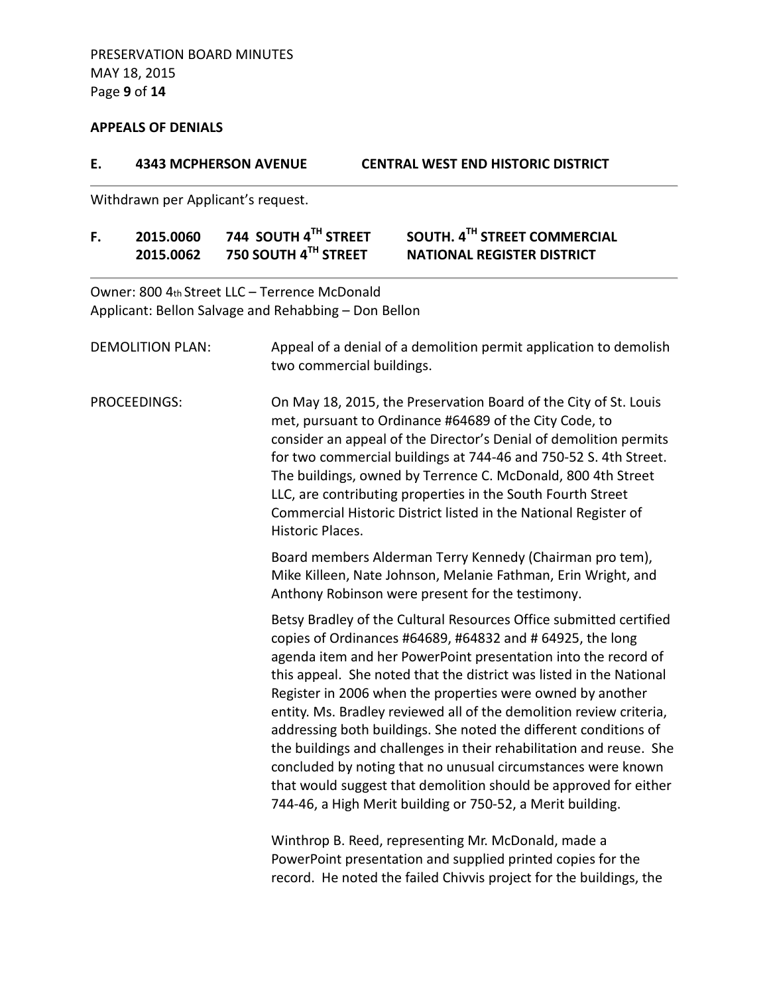## **APPEALS OF DENIALS**

| Ε. |                         | <b>4343 MCPHERSON AVENUE</b>                                                                                                                                                  | <b>CENTRAL WEST END HISTORIC DISTRICT</b>                                                                                                                                                                                                                                                                                                                                                                                                                                                                                                                                                                                                                                                                                                                  |
|----|-------------------------|-------------------------------------------------------------------------------------------------------------------------------------------------------------------------------|------------------------------------------------------------------------------------------------------------------------------------------------------------------------------------------------------------------------------------------------------------------------------------------------------------------------------------------------------------------------------------------------------------------------------------------------------------------------------------------------------------------------------------------------------------------------------------------------------------------------------------------------------------------------------------------------------------------------------------------------------------|
|    |                         | Withdrawn per Applicant's request.                                                                                                                                            |                                                                                                                                                                                                                                                                                                                                                                                                                                                                                                                                                                                                                                                                                                                                                            |
| F. | 2015.0060<br>2015.0062  | 744 SOUTH 4TH STREET<br>750 SOUTH 4TH STREET                                                                                                                                  | SOUTH. 4TH STREET COMMERCIAL<br><b>NATIONAL REGISTER DISTRICT</b>                                                                                                                                                                                                                                                                                                                                                                                                                                                                                                                                                                                                                                                                                          |
|    |                         | Owner: 800 4th Street LLC - Terrence McDonald<br>Applicant: Bellon Salvage and Rehabbing - Don Bellon                                                                         |                                                                                                                                                                                                                                                                                                                                                                                                                                                                                                                                                                                                                                                                                                                                                            |
|    | <b>DEMOLITION PLAN:</b> | two commercial buildings.                                                                                                                                                     | Appeal of a denial of a demolition permit application to demolish                                                                                                                                                                                                                                                                                                                                                                                                                                                                                                                                                                                                                                                                                          |
|    | PROCEEDINGS:            | Historic Places.                                                                                                                                                              | On May 18, 2015, the Preservation Board of the City of St. Louis<br>met, pursuant to Ordinance #64689 of the City Code, to<br>consider an appeal of the Director's Denial of demolition permits<br>for two commercial buildings at 744-46 and 750-52 S. 4th Street.<br>The buildings, owned by Terrence C. McDonald, 800 4th Street<br>LLC, are contributing properties in the South Fourth Street<br>Commercial Historic District listed in the National Register of                                                                                                                                                                                                                                                                                      |
|    |                         | Board members Alderman Terry Kennedy (Chairman pro tem),<br>Mike Killeen, Nate Johnson, Melanie Fathman, Erin Wright, and<br>Anthony Robinson were present for the testimony. |                                                                                                                                                                                                                                                                                                                                                                                                                                                                                                                                                                                                                                                                                                                                                            |
|    |                         |                                                                                                                                                                               | Betsy Bradley of the Cultural Resources Office submitted certified<br>copies of Ordinances #64689, #64832 and # 64925, the long<br>agenda item and her PowerPoint presentation into the record of<br>this appeal. She noted that the district was listed in the National<br>Register in 2006 when the properties were owned by another<br>entity. Ms. Bradley reviewed all of the demolition review criteria,<br>addressing both buildings. She noted the different conditions of<br>the buildings and challenges in their rehabilitation and reuse. She<br>concluded by noting that no unusual circumstances were known<br>that would suggest that demolition should be approved for either<br>744-46, a High Merit building or 750-52, a Merit building. |
|    |                         |                                                                                                                                                                               | Winthrop B. Reed, representing Mr. McDonald, made a<br>PowerPoint presentation and supplied printed copies for the<br>record. He noted the failed Chivvis project for the buildings, the                                                                                                                                                                                                                                                                                                                                                                                                                                                                                                                                                                   |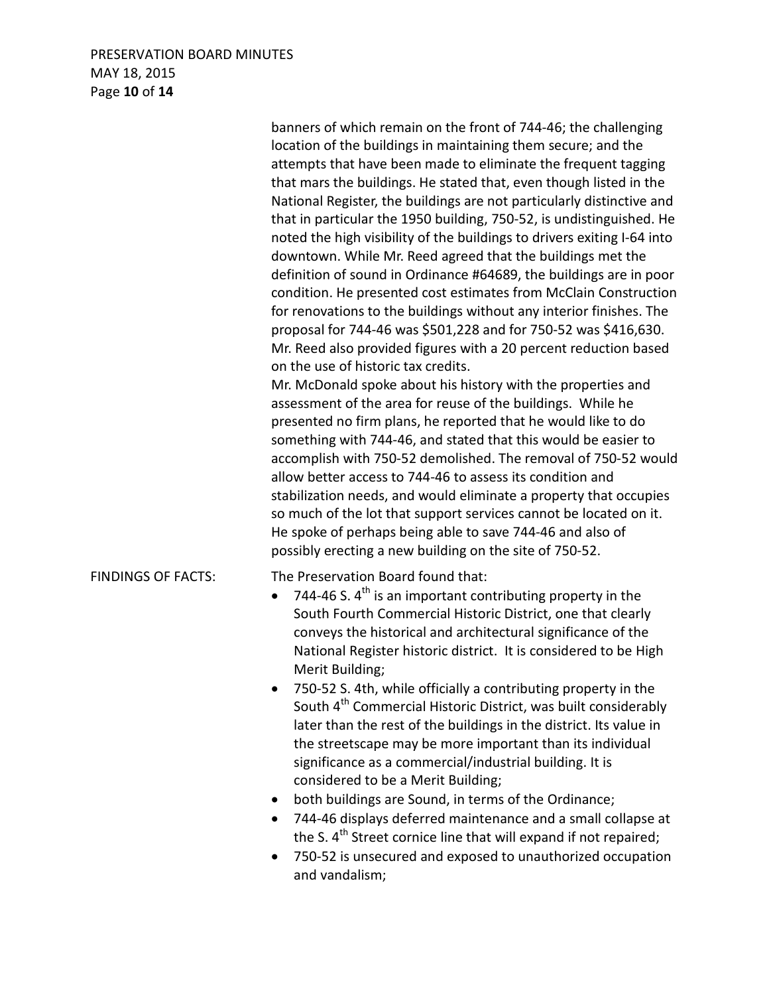### PRESERVATION BOARD MINUTES MAY 18, 2015 Page **10** of **14**

|                           | banners of which remain on the front of 744-46; the challenging<br>location of the buildings in maintaining them secure; and the<br>attempts that have been made to eliminate the frequent tagging<br>that mars the buildings. He stated that, even though listed in the<br>National Register, the buildings are not particularly distinctive and<br>that in particular the 1950 building, 750-52, is undistinguished. He<br>noted the high visibility of the buildings to drivers exiting I-64 into<br>downtown. While Mr. Reed agreed that the buildings met the<br>definition of sound in Ordinance #64689, the buildings are in poor<br>condition. He presented cost estimates from McClain Construction<br>for renovations to the buildings without any interior finishes. The<br>proposal for 744-46 was \$501,228 and for 750-52 was \$416,630.<br>Mr. Reed also provided figures with a 20 percent reduction based<br>on the use of historic tax credits.<br>Mr. McDonald spoke about his history with the properties and<br>assessment of the area for reuse of the buildings. While he<br>presented no firm plans, he reported that he would like to do<br>something with 744-46, and stated that this would be easier to<br>accomplish with 750-52 demolished. The removal of 750-52 would<br>allow better access to 744-46 to assess its condition and<br>stabilization needs, and would eliminate a property that occupies<br>so much of the lot that support services cannot be located on it.<br>He spoke of perhaps being able to save 744-46 and also of<br>possibly erecting a new building on the site of 750-52. |
|---------------------------|--------------------------------------------------------------------------------------------------------------------------------------------------------------------------------------------------------------------------------------------------------------------------------------------------------------------------------------------------------------------------------------------------------------------------------------------------------------------------------------------------------------------------------------------------------------------------------------------------------------------------------------------------------------------------------------------------------------------------------------------------------------------------------------------------------------------------------------------------------------------------------------------------------------------------------------------------------------------------------------------------------------------------------------------------------------------------------------------------------------------------------------------------------------------------------------------------------------------------------------------------------------------------------------------------------------------------------------------------------------------------------------------------------------------------------------------------------------------------------------------------------------------------------------------------------------------------------------------------------------------------------------|
| <b>FINDINGS OF FACTS:</b> | The Preservation Board found that:<br>744-46 S. $4^{\text{th}}$ is an important contributing property in the<br>South Fourth Commercial Historic District, one that clearly<br>conveys the historical and architectural significance of the<br>National Register historic district. It is considered to be High<br>Merit Building;<br>750-52 S. 4th, while officially a contributing property in the<br>South 4 <sup>th</sup> Commercial Historic District, was built considerably<br>later than the rest of the buildings in the district. Its value in<br>the streetscape may be more important than its individual<br>significance as a commercial/industrial building. It is<br>considered to be a Merit Building;<br>both buildings are Sound, in terms of the Ordinance;<br>744-46 displays deferred maintenance and a small collapse at<br>the S. 4 <sup>th</sup> Street cornice line that will expand if not repaired;<br>ZEO E2 is unsecured and expected to unauthorized oscupation                                                                                                                                                                                                                                                                                                                                                                                                                                                                                                                                                                                                                                        |

• 750-52 is unsecured and exposed to unauthorized occupation and vandalism;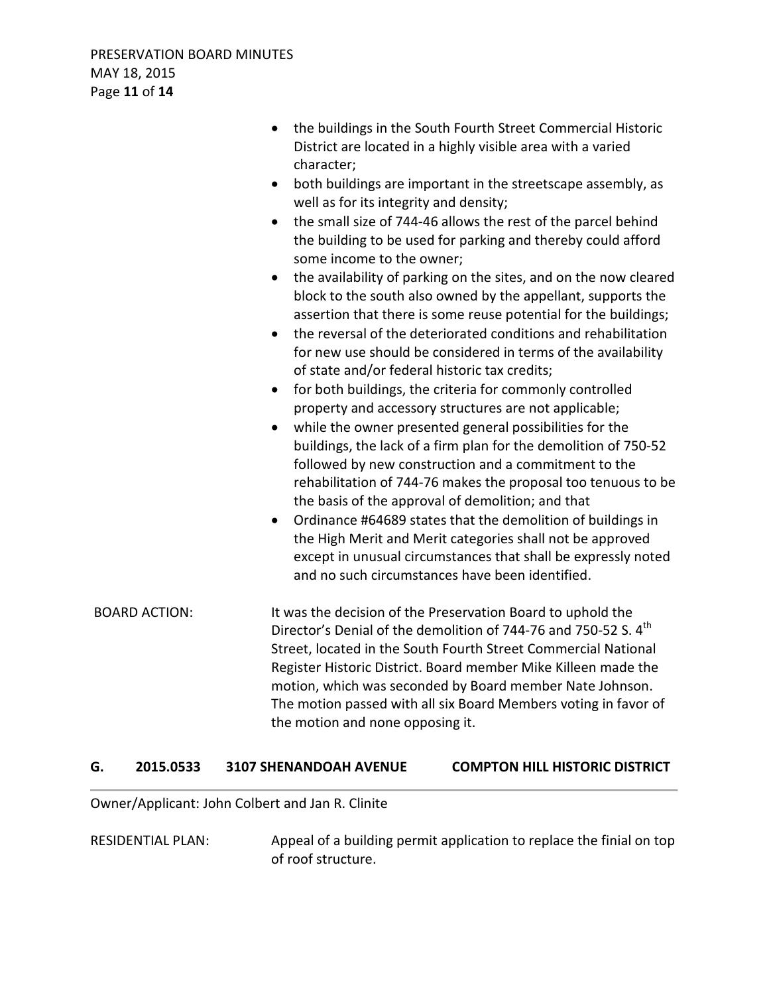|                      | the buildings in the South Fourth Street Commercial Historic<br>District are located in a highly visible area with a varied<br>character;<br>both buildings are important in the streetscape assembly, as<br>$\bullet$<br>well as for its integrity and density;<br>the small size of 744-46 allows the rest of the parcel behind<br>$\bullet$<br>the building to be used for parking and thereby could afford<br>some income to the owner;<br>the availability of parking on the sites, and on the now cleared<br>$\bullet$<br>block to the south also owned by the appellant, supports the<br>assertion that there is some reuse potential for the buildings;<br>the reversal of the deteriorated conditions and rehabilitation<br>$\bullet$<br>for new use should be considered in terms of the availability<br>of state and/or federal historic tax credits;<br>for both buildings, the criteria for commonly controlled<br>$\bullet$<br>property and accessory structures are not applicable;<br>while the owner presented general possibilities for the<br>$\bullet$<br>buildings, the lack of a firm plan for the demolition of 750-52 |
|----------------------|-----------------------------------------------------------------------------------------------------------------------------------------------------------------------------------------------------------------------------------------------------------------------------------------------------------------------------------------------------------------------------------------------------------------------------------------------------------------------------------------------------------------------------------------------------------------------------------------------------------------------------------------------------------------------------------------------------------------------------------------------------------------------------------------------------------------------------------------------------------------------------------------------------------------------------------------------------------------------------------------------------------------------------------------------------------------------------------------------------------------------------------------------|
|                      | followed by new construction and a commitment to the<br>rehabilitation of 744-76 makes the proposal too tenuous to be<br>the basis of the approval of demolition; and that<br>Ordinance #64689 states that the demolition of buildings in<br>the High Merit and Merit categories shall not be approved<br>except in unusual circumstances that shall be expressly noted<br>and no such circumstances have been identified.                                                                                                                                                                                                                                                                                                                                                                                                                                                                                                                                                                                                                                                                                                                    |
| <b>BOARD ACTION:</b> | It was the decision of the Preservation Board to uphold the<br>Director's Denial of the demolition of 744-76 and 750-52 S. 4 <sup>th</sup><br>Street, located in the South Fourth Street Commercial National<br>Register Historic District. Board member Mike Killeen made the<br>motion, which was seconded by Board member Nate Johnson.<br>The motion passed with all six Board Members voting in favor of<br>the motion and none opposing it.                                                                                                                                                                                                                                                                                                                                                                                                                                                                                                                                                                                                                                                                                             |

#### **G. 2015.0533 3107 SHENANDOAH AVENUE COMPTON HILL HISTORIC DISTRICT**

Owner/Applicant: John Colbert and Jan R. Clinite

RESIDENTIAL PLAN: Appeal of a building permit application to replace the finial on top of roof structure.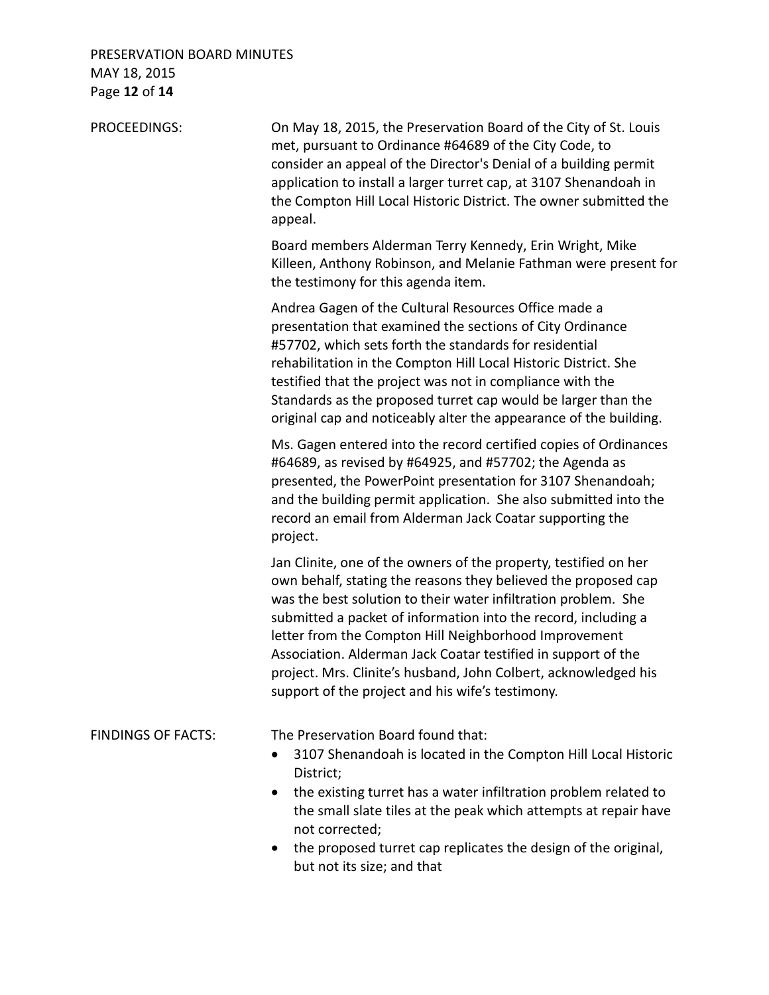### PRESERVATION BOARD MINUTES MAY 18, 2015 Page **12** of **14**

| PROCEEDINGS:              | On May 18, 2015, the Preservation Board of the City of St. Louis<br>met, pursuant to Ordinance #64689 of the City Code, to<br>consider an appeal of the Director's Denial of a building permit<br>application to install a larger turret cap, at 3107 Shenandoah in<br>the Compton Hill Local Historic District. The owner submitted the<br>appeal.                                                                                                                                                                     |
|---------------------------|-------------------------------------------------------------------------------------------------------------------------------------------------------------------------------------------------------------------------------------------------------------------------------------------------------------------------------------------------------------------------------------------------------------------------------------------------------------------------------------------------------------------------|
|                           | Board members Alderman Terry Kennedy, Erin Wright, Mike<br>Killeen, Anthony Robinson, and Melanie Fathman were present for<br>the testimony for this agenda item.                                                                                                                                                                                                                                                                                                                                                       |
|                           | Andrea Gagen of the Cultural Resources Office made a<br>presentation that examined the sections of City Ordinance<br>#57702, which sets forth the standards for residential<br>rehabilitation in the Compton Hill Local Historic District. She<br>testified that the project was not in compliance with the<br>Standards as the proposed turret cap would be larger than the<br>original cap and noticeably alter the appearance of the building.                                                                       |
|                           | Ms. Gagen entered into the record certified copies of Ordinances<br>#64689, as revised by #64925, and #57702; the Agenda as<br>presented, the PowerPoint presentation for 3107 Shenandoah;<br>and the building permit application. She also submitted into the<br>record an email from Alderman Jack Coatar supporting the<br>project.                                                                                                                                                                                  |
|                           | Jan Clinite, one of the owners of the property, testified on her<br>own behalf, stating the reasons they believed the proposed cap<br>was the best solution to their water infiltration problem. She<br>submitted a packet of information into the record, including a<br>letter from the Compton Hill Neighborhood Improvement<br>Association. Alderman Jack Coatar testified in support of the<br>project. Mrs. Clinite's husband, John Colbert, acknowledged his<br>support of the project and his wife's testimony. |
| <b>FINDINGS OF FACTS:</b> | The Preservation Board found that:<br>3107 Shenandoah is located in the Compton Hill Local Historic<br>District;<br>the existing turret has a water infiltration problem related to<br>٠<br>the small slate tiles at the peak which attempts at repair have<br>not corrected;<br>the proposed turret cap replicates the design of the original,<br>$\bullet$<br>but not its size; and that                                                                                                                              |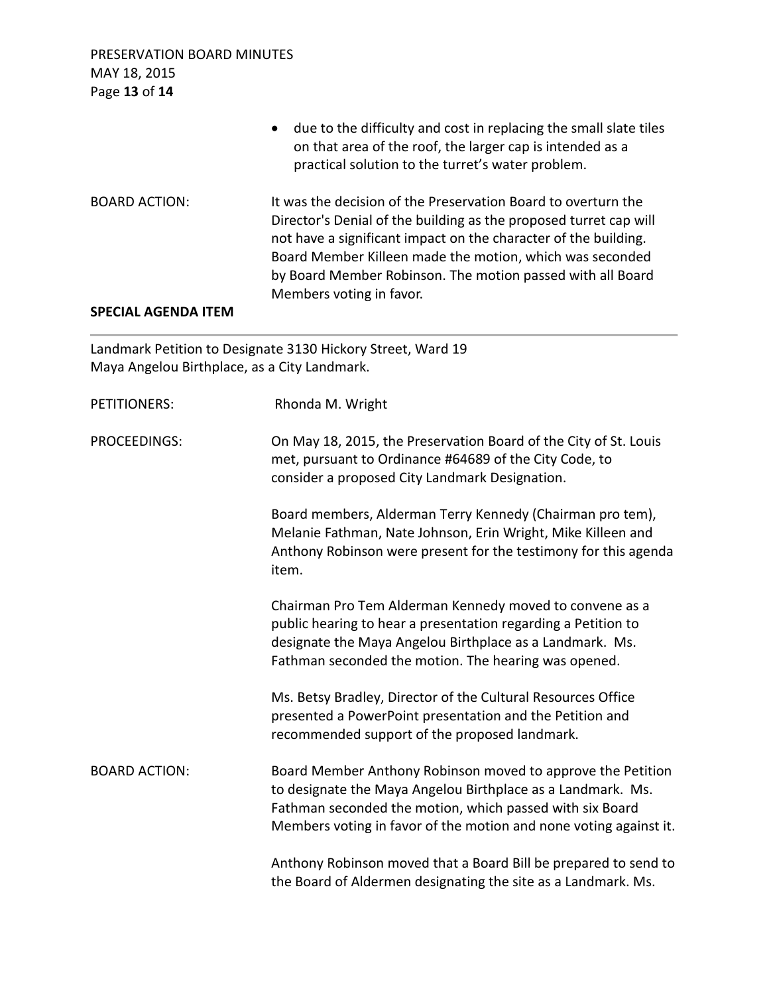PRESERVATION BOARD MINUTES MAY 18, 2015 Page **13** of **14**

• due to the difficulty and cost in replacing the small slate tiles on that area of the roof, the larger cap is intended as a practical solution to the turret's water problem. BOARD ACTION: It was the decision of the Preservation Board to overturn the Director's Denial of the building as the proposed turret cap will not have a significant impact on the character of the building. Board Member Killeen made the motion, which was seconded by Board Member Robinson. The motion passed with all Board Members voting in favor.

#### **SPECIAL AGENDA ITEM**

Landmark Petition to Designate 3130 Hickory Street, Ward 19 Maya Angelou Birthplace, as a City Landmark.

| <b>PETITIONERS:</b>  | Rhonda M. Wright                                                                                                                                                                                                                                            |
|----------------------|-------------------------------------------------------------------------------------------------------------------------------------------------------------------------------------------------------------------------------------------------------------|
| PROCEEDINGS:         | On May 18, 2015, the Preservation Board of the City of St. Louis<br>met, pursuant to Ordinance #64689 of the City Code, to<br>consider a proposed City Landmark Designation.                                                                                |
|                      | Board members, Alderman Terry Kennedy (Chairman pro tem),<br>Melanie Fathman, Nate Johnson, Erin Wright, Mike Killeen and<br>Anthony Robinson were present for the testimony for this agenda<br>item.                                                       |
|                      | Chairman Pro Tem Alderman Kennedy moved to convene as a<br>public hearing to hear a presentation regarding a Petition to<br>designate the Maya Angelou Birthplace as a Landmark. Ms.<br>Fathman seconded the motion. The hearing was opened.                |
|                      | Ms. Betsy Bradley, Director of the Cultural Resources Office<br>presented a PowerPoint presentation and the Petition and<br>recommended support of the proposed landmark.                                                                                   |
| <b>BOARD ACTION:</b> | Board Member Anthony Robinson moved to approve the Petition<br>to designate the Maya Angelou Birthplace as a Landmark. Ms.<br>Fathman seconded the motion, which passed with six Board<br>Members voting in favor of the motion and none voting against it. |
|                      | Anthony Robinson moved that a Board Bill be prepared to send to<br>the Board of Aldermen designating the site as a Landmark. Ms.                                                                                                                            |